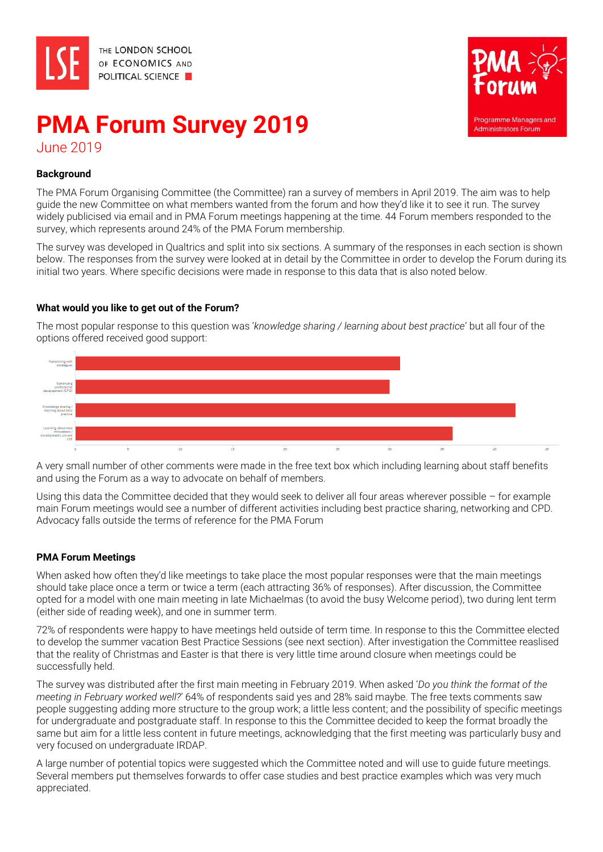



# **PMA Forum Survey 2019** June 2019

## **Background**

The PMA Forum Organising Committee (the Committee) ran a survey of members in April 2019. The aim was to help guide the new Committee on what members wanted from the forum and how they'd like it to see it run. The survey widely publicised via email and in PMA Forum meetings happening at the time. 44 Forum members responded to the survey, which represents around 24% of the PMA Forum membership.

The survey was developed in Qualtrics and split into six sections. A summary of the responses in each section is shown below. The responses from the survey were looked at in detail by the Committee in order to develop the Forum during its initial two years. Where specific decisions were made in response to this data that is also noted below.

#### **What would you like to get out of the Forum?**

The most popular response to this question was '*knowledge sharing / learning about best practice*' but all four of the options offered received good support:



A very small number of other comments were made in the free text box which including learning about staff benefits and using the Forum as a way to advocate on behalf of members.

Using this data the Committee decided that they would seek to deliver all four areas wherever possible – for example main Forum meetings would see a number of different activities including best practice sharing, networking and CPD. Advocacy falls outside the terms of reference for the PMA Forum

## **PMA Forum Meetings**

When asked how often they'd like meetings to take place the most popular responses were that the main meetings should take place once a term or twice a term (each attracting 36% of responses). After discussion, the Committee opted for a model with one main meeting in late Michaelmas (to avoid the busy Welcome period), two during lent term (either side of reading week), and one in summer term.

72% of respondents were happy to have meetings held outside of term time. In response to this the Committee elected to develop the summer vacation Best Practice Sessions (see next section). After investigation the Committee reaslised that the reality of Christmas and Easter is that there is very little time around closure when meetings could be successfully held.

The survey was distributed after the first main meeting in February 2019. When asked '*Do you think the format of the meeting in February worked well?*' 64% of respondents said yes and 28% said maybe. The free texts comments saw people suggesting adding more structure to the group work; a little less content; and the possibility of specific meetings for undergraduate and postgraduate staff. In response to this the Committee decided to keep the format broadly the same but aim for a little less content in future meetings, acknowledging that the first meeting was particularly busy and very focused on undergraduate IRDAP.

A large number of potential topics were suggested which the Committee noted and will use to guide future meetings. Several members put themselves forwards to offer case studies and best practice examples which was very much appreciated.